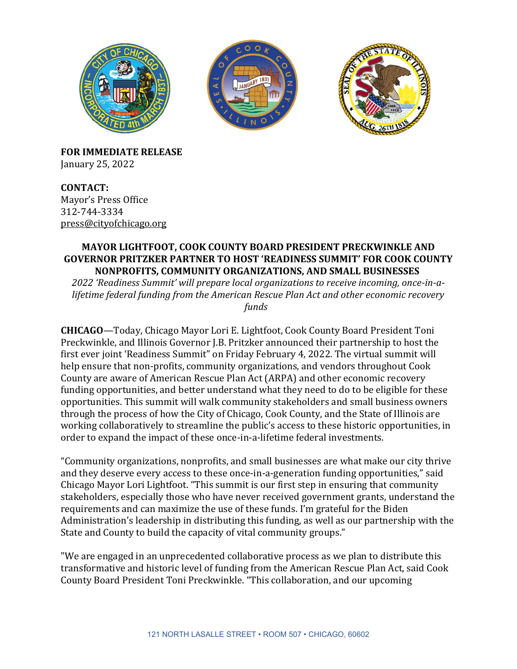

**FOR IMMEDIATE RELEASE** January 25, 2022

**CONTACT:** Mayor's Press Office 312-744-3334 [press@cityofchicago.org](mailto:press@cityofchicago.org)

## **MAYOR LIGHTFOOT, COOK COUNTY BOARD PRESIDENT PRECKWINKLE AND GOVERNOR PRITZKER PARTNER TO HOST 'READINESS SUMMIT' FOR COOK COUNTY NONPROFITS, COMMUNITY ORGANIZATIONS, AND SMALL BUSINESSES**

*2022 'Readiness Summit' will prepare local organizations to receive incoming, once-in-alifetime federal funding from the American Rescue Plan Act and other economic recovery funds*

**CHICAGO**—Today, Chicago Mayor Lori E. Lightfoot, Cook County Board President Toni Preckwinkle, and Illinois Governor J.B. Pritzker announced their partnership to host the first ever joint 'Readiness Summit" on Friday February 4, 2022. The virtual summit will help ensure that non-profits, community organizations, and vendors throughout Cook County are aware of American Rescue Plan Act (ARPA) and other economic recovery funding opportunities, and better understand what they need to do to be eligible for these opportunities. This summit will walk community stakeholders and small business owners through the process of how the City of Chicago, Cook County, and the State of Illinois are working collaboratively to streamline the public's access to these historic opportunities, in order to expand the impact of these once-in-a-lifetime federal investments.

"Community organizations, nonprofits, and small businesses are what make our city thrive and they deserve every access to these once-in-a-generation funding opportunities," said Chicago Mayor Lori Lightfoot. "This summit is our first step in ensuring that community stakeholders, especially those who have never received government grants, understand the requirements and can maximize the use of these funds. I'm grateful for the Biden Administration's leadership in distributing this funding, as well as our partnership with the State and County to build the capacity of vital community groups."  

"We are engaged in an unprecedented collaborative process as we plan to distribute this transformative and historic level of funding from the American Rescue Plan Act, said Cook County Board President Toni Preckwinkle. "This collaboration, and our upcoming